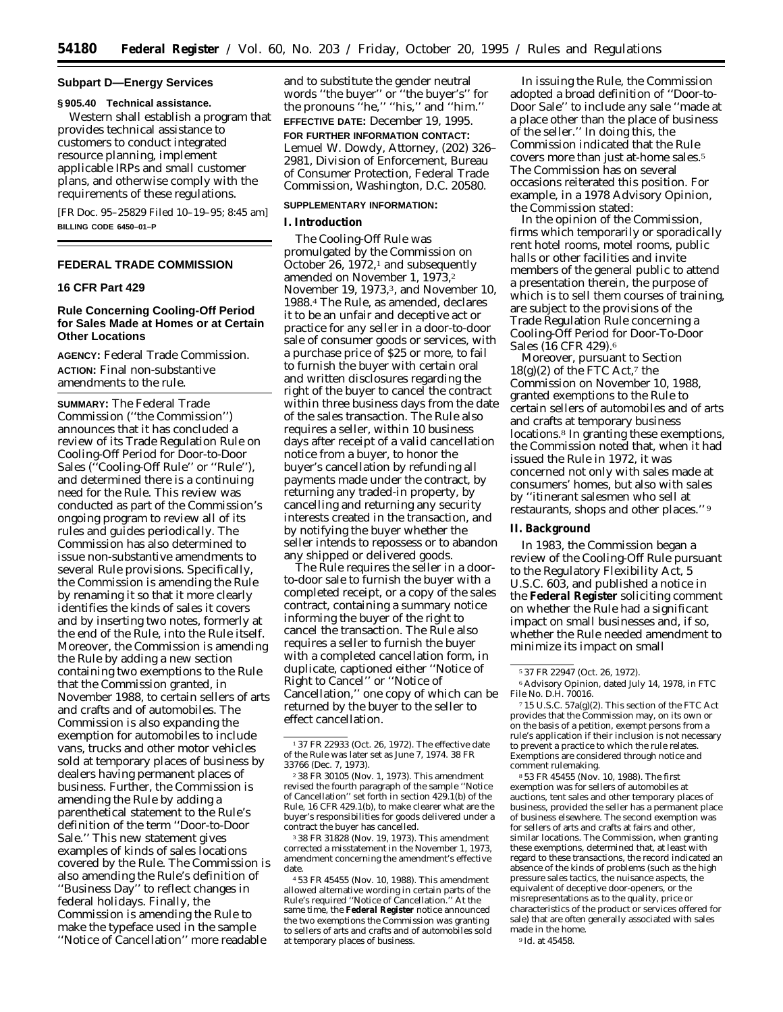### **Subpart D—Energy Services**

**§ 905.40 Technical assistance.** Western shall establish a program that provides technical assistance to customers to conduct integrated resource planning, implement applicable IRPs and small customer plans, and otherwise comply with the requirements of these regulations.

[FR Doc. 95–25829 Filed 10–19–95; 8:45 am] **BILLING CODE 6450–01–P**

## **FEDERAL TRADE COMMISSION**

## **16 CFR Part 429**

# **Rule Concerning Cooling-Off Period for Sales Made at Homes or at Certain Other Locations**

**AGENCY:** Federal Trade Commission. **ACTION:** Final non-substantive amendments to the rule.

**SUMMARY:** The Federal Trade Commission (''the Commission'') announces that it has concluded a review of its Trade Regulation Rule on Cooling-Off Period for Door-to-Door Sales (''Cooling-Off Rule'' or ''Rule''), and determined there is a continuing need for the Rule. This review was conducted as part of the Commission's ongoing program to review all of its rules and guides periodically. The Commission has also determined to issue non-substantive amendments to several Rule provisions. Specifically, the Commission is amending the Rule by renaming it so that it more clearly identifies the kinds of sales it covers and by inserting two notes, formerly at the end of the Rule, into the Rule itself. Moreover, the Commission is amending the Rule by adding a new section containing two exemptions to the Rule that the Commission granted, in November 1988, to certain sellers of arts and crafts and of automobiles. The Commission is also expanding the exemption for automobiles to include vans, trucks and other motor vehicles sold at temporary places of business by dealers having permanent places of business. Further, the Commission is amending the Rule by adding a parenthetical statement to the Rule's definition of the term ''Door-to-Door Sale.'' This new statement gives examples of kinds of sales locations covered by the Rule. The Commission is also amending the Rule's definition of ''Business Day'' to reflect changes in federal holidays. Finally, the Commission is amending the Rule to make the typeface used in the sample ''Notice of Cancellation'' more readable

and to substitute the gender neutral words ''the buyer'' or ''the buyer's'' for the pronouns ''he,'' ''his,'' and ''him.'' **EFFECTIVE DATE:** December 19, 1995. **FOR FURTHER INFORMATION CONTACT:** Lemuel W. Dowdy, Attorney, (202) 326– 2981, Division of Enforcement, Bureau of Consumer Protection, Federal Trade Commission, Washington, D.C. 20580.

### **SUPPLEMENTARY INFORMATION:**

## **I. Introduction**

The Cooling-Off Rule was promulgated by the Commission on October 26,  $1972<sup>1</sup>$  and subsequently amended on November 1, 1973,2 November 19, 1973,<sup>3</sup>, and November 10, 1988.4 The Rule, as amended, declares it to be an unfair and deceptive act or practice for any seller in a door-to-door sale of consumer goods or services, with a purchase price of \$25 or more, to fail to furnish the buyer with certain oral and written disclosures regarding the right of the buyer to cancel the contract within three business days from the date of the sales transaction. The Rule also requires a seller, within 10 business days after receipt of a valid cancellation notice from a buyer, to honor the buyer's cancellation by refunding all payments made under the contract, by returning any traded-in property, by cancelling and returning any security interests created in the transaction, and by notifying the buyer whether the seller intends to repossess or to abandon any shipped or delivered goods.

The Rule requires the seller in a doorto-door sale to furnish the buyer with a completed receipt, or a copy of the sales contract, containing a summary notice informing the buyer of the right to cancel the transaction. The Rule also requires a seller to furnish the buyer with a completed cancellation form, in duplicate, captioned either ''Notice of Right to Cancel'' or ''Notice of Cancellation,'' one copy of which can be returned by the buyer to the seller to effect cancellation.

3 38 FR 31828 (Nov. 19, 1973). This amendment corrected a misstatement in the November 1, 1973, amendment concerning the amendment's effective date.

4 53 FR 45455 (Nov. 10, 1988). This amendment allowed alternative wording in certain parts of the Rule's required ''Notice of Cancellation.'' At the same time, the **Federal Register** notice announced the two exemptions the Commission was granting to sellers of arts and crafts and of automobiles sold at temporary places of business.

In issuing the Rule, the Commission adopted a broad definition of ''Door-to-Door Sale'' to include any sale ''made at a place other than the place of business of the seller.'' In doing this, the Commission indicated that the Rule covers more than just at-home sales.5 The Commission has on several occasions reiterated this position. For example, in a 1978 Advisory Opinion, the Commission stated:

In the opinion of the Commission, firms which temporarily or sporadically rent hotel rooms, motel rooms, public halls or other facilities and invite members of the general public to attend a presentation therein, the purpose of which is to sell them courses of training, are subject to the provisions of the Trade Regulation Rule concerning a Cooling-Off Period for Door-To-Door Sales (16 CFR 429).6

Moreover, pursuant to Section  $18(g)(2)$  of the FTC Act,<sup>7</sup> the Commission on November 10, 1988, granted exemptions to the Rule to certain sellers of automobiles and of arts and crafts at temporary business locations.<sup>8</sup> In granting these exemptions, the Commission noted that, when it had issued the Rule in 1972, it was concerned not only with sales made at consumers' homes, but also with sales by ''itinerant salesmen who sell at restaurants, shops and other places.'' 9

## **II. Background**

In 1983, the Commission began a review of the Cooling-Off Rule pursuant to the Regulatory Flexibility Act, 5 U.S.C. 603, and published a notice in the **Federal Register** soliciting comment on whether the Rule had a significant impact on small businesses and, if so, whether the Rule needed amendment to minimize its impact on small

8 53 FR 45455 (Nov. 10, 1988). The first exemption was for sellers of automobiles at auctions, tent sales and other temporary places of business, provided the seller has a permanent place of business elsewhere. The second exemption was for sellers of arts and crafts at fairs and other, similar locations. The Commission, when granting these exemptions, determined that, at least with regard to these transactions, the record indicated an absence of the kinds of problems (such as the high pressure sales tactics, the nuisance aspects, the equivalent of deceptive door-openers, or the misrepresentations as to the quality, price or characteristics of the product or services offered for sale) that are often generally associated with sales made in the home. 9 *Id.* at 45458.

<sup>1</sup> 37 FR 22933 (Oct. 26, 1972). The effective date of the Rule was later set as June 7, 1974. 38 FR 33766 (Dec. 7, 1973).

<sup>2</sup> 38 FR 30105 (Nov. 1, 1973). This amendment revised the fourth paragraph of the sample ''Notice of Cancellation'' set forth in section 429.1(b) of the Rule, 16 CFR 429.1(b), to make clearer what are the buyer's responsibilities for goods delivered under a contract the buyer has cancelled.

<sup>5</sup> 37 FR 22947 (Oct. 26, 1972).

<sup>6</sup>Advisory Opinion, dated July 14, 1978, in FTC File No. D.H. 70016.

<sup>7</sup> 15 U.S.C. 57a(g)(2). This section of the FTC Act provides that the Commission may, on its own or on the basis of a petition, exempt persons from a rule's application if their inclusion is not necessary to prevent a practice to which the rule relates. Exemptions are considered through notice and comment rulemaking.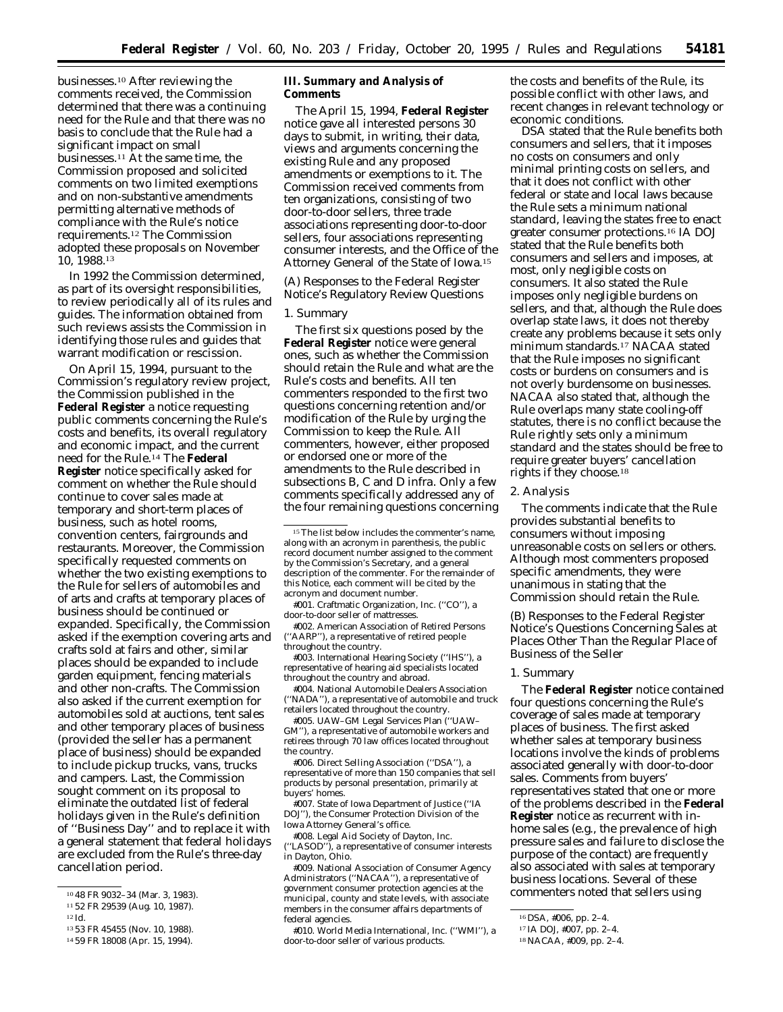businesses.10 After reviewing the comments received, the Commission determined that there was a continuing need for the Rule and that there was no basis to conclude that the Rule had a significant impact on small businesses.11 At the same time, the Commission proposed and solicited comments on two limited exemptions and on non-substantive amendments permitting alternative methods of compliance with the Rule's notice requirements.12 The Commission adopted these proposals on November 10, 1988.13

In 1992 the Commission determined, as part of its oversight responsibilities, to review periodically all of its rules and guides. The information obtained from such reviews assists the Commission in identifying those rules and guides that warrant modification or rescission.

On April 15, 1994, pursuant to the Commission's regulatory review project, the Commission published in the **Federal Register** a notice requesting public comments concerning the Rule's costs and benefits, its overall regulatory and economic impact, and the current need for the Rule.14 The **Federal Register** notice specifically asked for comment on whether the Rule should continue to cover sales made at temporary and short-term places of business, such as hotel rooms, convention centers, fairgrounds and restaurants. Moreover, the Commission specifically requested comments on whether the two existing exemptions to the Rule for sellers of automobiles and of arts and crafts at temporary places of business should be continued or expanded. Specifically, the Commission asked if the exemption covering arts and crafts sold at fairs and other, similar places should be expanded to include garden equipment, fencing materials and other non-crafts. The Commission also asked if the current exemption for automobiles sold at auctions, tent sales and other temporary places of business (provided the seller has a permanent place of business) should be expanded to include pickup trucks, vans, trucks and campers. Last, the Commission sought comment on its proposal to eliminate the outdated list of federal holidays given in the Rule's definition of ''Business Day'' and to replace it with a general statement that federal holidays are excluded from the Rule's three-day cancellation period.

**III. Summary and Analysis of Comments**

The April 15, 1994, **Federal Register** notice gave all interested persons 30 days to submit, in writing, their data, views and arguments concerning the existing Rule and any proposed amendments or exemptions to it. The Commission received comments from ten organizations, consisting of two door-to-door sellers, three trade associations representing door-to-door sellers, four associations representing consumer interests, and the Office of the Attorney General of the State of Iowa.15

*(A) Responses to the Federal Register Notice's Regulatory Review Questions*

## 1. Summary

The first six questions posed by the **Federal Register** notice were general ones, such as whether the Commission should retain the Rule and what are the Rule's costs and benefits. All ten commenters responded to the first two questions concerning retention and/or modification of the Rule by urging the Commission to keep the Rule. All commenters, however, either proposed or endorsed one or more of the amendments to the Rule described in subsections B, C and D *infra.* Only a few comments specifically addressed any of the four remaining questions concerning

#001. Craftmatic Organization, Inc. (''CO''), a door-to-door seller of mattresses.

#002. American Association of Retired Persons (''AARP''), a representative of retired people throughout the country.

#003. International Hearing Society (''IHS''), a representative of hearing aid specialists located throughout the country and abroad.

#004. National Automobile Dealers Association (''NADA''), a representative of automobile and truck retailers located throughout the country.

#005. UAW–GM Legal Services Plan (''UAW– GM''), a representative of automobile workers and retirees through 70 law offices located throughout the country.

#006. Direct Selling Association (''DSA''), a representative of more than 150 companies that sell products by personal presentation, primarily at buyers' homes.

#007. State of Iowa Department of Justice (''IA DOJ''), the Consumer Protection Division of the Iowa Attorney General's office.

#008. Legal Aid Society of Dayton, Inc. "LASOD"), a representative of consumer interests in Dayton, Ohio.

#009. National Association of Consumer Agency Administrators (''NACAA''), a representative of government consumer protection agencies at the municipal, county and state levels, with associate members in the consumer affairs departments of federal agencies.

#010. World Media International, Inc. (''WMI''), a door-to-door seller of various products.

the costs and benefits of the Rule, its possible conflict with other laws, and recent changes in relevant technology or economic conditions.

DSA stated that the Rule benefits both consumers and sellers, that it imposes no costs on consumers and only minimal printing costs on sellers, and that it does not conflict with other federal or state and local laws because the Rule sets a minimum national standard, leaving the states free to enact greater consumer protections.16 IA DOJ stated that the Rule benefits both consumers and sellers and imposes, at most, only negligible costs on consumers. It also stated the Rule imposes only negligible burdens on sellers, and that, although the Rule does overlap state laws, it does not thereby create any problems because it sets only minimum standards.17 NACAA stated that the Rule imposes no significant costs or burdens on consumers and is not overly burdensome on businesses. NACAA also stated that, although the Rule overlaps many state cooling-off statutes, there is no conflict because the Rule rightly sets only a minimum standard and the states should be free to require greater buyers' cancellation rights if they choose.18

### 2. Analysis

The comments indicate that the Rule provides substantial benefits to consumers without imposing unreasonable costs on sellers or others. Although most commenters proposed specific amendments, they were unanimous in stating that the Commission should retain the Rule.

*(B) Responses to the Federal Register Notice's Questions Concerning Sales at Places Other Than the Regular Place of Business of the Seller*

## 1. Summary

The **Federal Register** notice contained four questions concerning the Rule's coverage of sales made at temporary places of business. The first asked whether sales at temporary business locations involve the kinds of problems associated generally with door-to-door sales. Comments from buyers' representatives stated that one or more of the problems described in the **Federal Register** notice as recurrent with inhome sales (*e.g.,* the prevalence of high pressure sales and failure to disclose the purpose of the contact) are frequently also associated with sales at temporary business locations. Several of these commenters noted that sellers using

<sup>10</sup> 48 FR 9032–34 (Mar. 3, 1983).

<sup>11</sup> 52 FR 29539 (Aug. 10, 1987).

<sup>12</sup> *Id.*

<sup>13</sup> 53 FR 45455 (Nov. 10, 1988).

<sup>14</sup> 59 FR 18008 (Apr. 15, 1994).

<sup>&</sup>lt;sup>15</sup>The list below includes the commenter's name, along with an acronym in parenthesis, the public record document number assigned to the comment by the Commission's Secretary, and a general description of the commenter. For the remainder of this Notice, each comment will be cited by the acronym and document number.

<sup>16</sup> DSA, #006, pp. 2–4.

<sup>17</sup> IA DOJ, #007, pp. 2–4.

<sup>18</sup>NACAA, #009, pp. 2–4.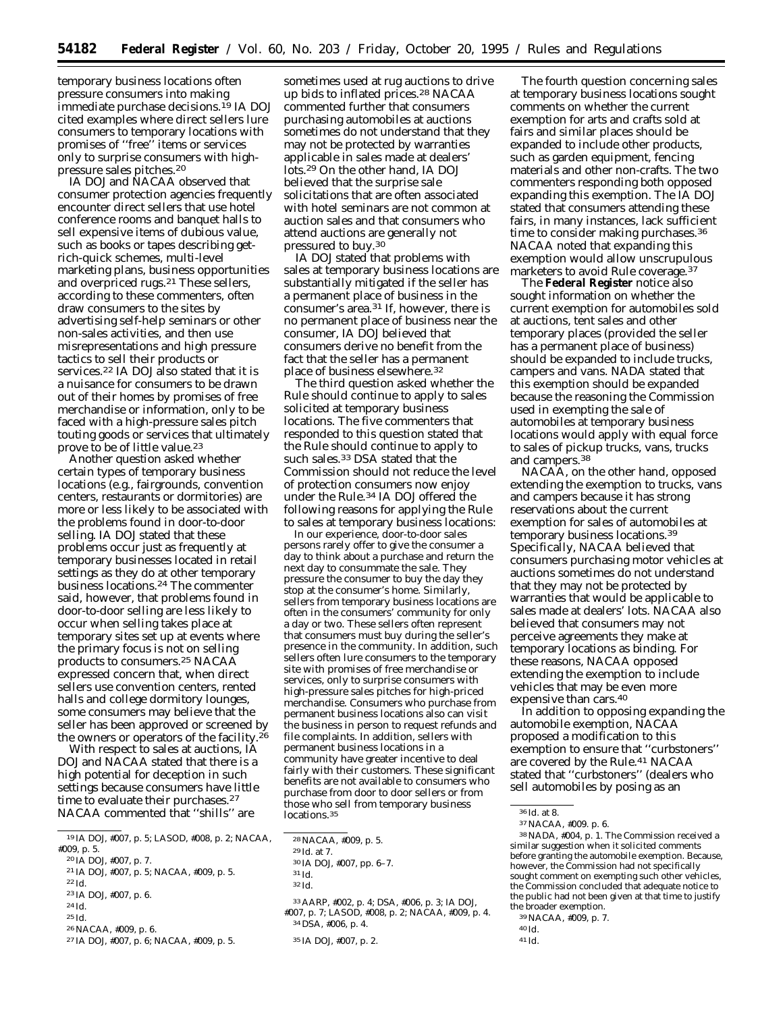temporary business locations often pressure consumers into making immediate purchase decisions.19 IA DOJ cited examples where direct sellers lure consumers to temporary locations with promises of ''free'' items or services only to surprise consumers with highpressure sales pitches.20

IA DOJ and NACAA observed that consumer protection agencies frequently encounter direct sellers that use hotel conference rooms and banquet halls to sell expensive items of dubious value, such as books or tapes describing getrich-quick schemes, multi-level marketing plans, business opportunities and overpriced rugs.21 These sellers, according to these commenters, often draw consumers to the sites by advertising self-help seminars or other non-sales activities, and then use misrepresentations and high pressure tactics to sell their products or services.22 IA DOJ also stated that it is a nuisance for consumers to be drawn out of their homes by promises of free merchandise or information, only to be faced with a high-pressure sales pitch touting goods or services that ultimately prove to be of little value.23

Another question asked whether certain types of temporary business locations (*e.g.,* fairgrounds, convention centers, restaurants or dormitories) are more or less likely to be associated with the problems found in door-to-door selling. IA DOJ stated that these problems occur just as frequently at temporary businesses located in retail settings as they do at other temporary business locations.24 The commenter said, however, that problems found in door-to-door selling are less likely to occur when selling takes place at temporary sites set up at events where the primary focus is not on selling products to consumers.25 NACAA expressed concern that, when direct sellers use convention centers, rented halls and college dormitory lounges, some consumers may believe that the seller has been approved or screened by the owners or operators of the facility.26

With respect to sales at auctions, IA DOJ and NACAA stated that there is a high potential for deception in such settings because consumers have little time to evaluate their purchases.<sup>27</sup> NACAA commented that ''shills'' are

- 21 IA DOJ, #007, p. 5; NACAA, #009, p. 5.
- 22 *Id.* 23 IA DOJ, #007, p. 6.
- 24 *Id.*
- 25 *Id.*
- 26NACAA, #009, p. 6.
- 27 IA DOJ, #007, p. 6; NACAA, #009, p. 5.

sometimes used at rug auctions to drive up bids to inflated prices.28 NACAA commented further that consumers purchasing automobiles at auctions sometimes do not understand that they may not be protected by warranties applicable in sales made at dealers' lots.29 On the other hand, IA DOJ believed that the surprise sale solicitations that are often associated with hotel seminars are not common at auction sales and that consumers who attend auctions are generally not pressured to buy.30

IA DOJ stated that problems with sales at temporary business locations are substantially mitigated if the seller has a permanent place of business in the consumer's area.31 If, however, there is no permanent place of business near the consumer, IA DOJ believed that consumers derive no benefit from the fact that the seller has a permanent place of business elsewhere.32

The third question asked whether the Rule should continue to apply to sales solicited at temporary business locations. The five commenters that responded to this question stated that the Rule should continue to apply to such sales.33 DSA stated that the Commission should not reduce the level of protection consumers now enjoy under the Rule.34 IA DOJ offered the following reasons for applying the Rule to sales at temporary business locations:

In our experience, door-to-door sales persons rarely offer to give the consumer a day to think about a purchase and return the next day to consummate the sale. They pressure the consumer to buy the day they stop at the consumer's home. Similarly, sellers from temporary business locations are often in the consumers' community for only a day or two. These sellers often represent that consumers must buy during the seller's presence in the community. In addition, such sellers often lure consumers to the temporary site with promises of free merchandise or services, only to surprise consumers with high-pressure sales pitches for high-priced merchandise. Consumers who purchase from permanent business locations also can visit the business in person to request refunds and file complaints. In addition, sellers with permanent business locations in a community have greater incentive to deal fairly with their customers. These significant benefits are not available to consumers who purchase from door to door sellers or from those who sell from temporary business locations.35

33AARP, #002, p. 4; DSA, #006, p. 3; IA DOJ, #007, p. 7; LASOD, #008, p. 2; NACAA, #009, p. 4. 34 DSA, #006, p. 4.

The fourth question concerning sales at temporary business locations sought comments on whether the current exemption for arts and crafts sold at fairs and similar places should be expanded to include other products, such as garden equipment, fencing materials and other non-crafts. The two commenters responding both opposed expanding this exemption. The IA DOJ stated that consumers attending these fairs, in many instances, lack sufficient time to consider making purchases.<sup>36</sup> NACAA noted that expanding this exemption would allow unscrupulous marketers to avoid Rule coverage.37

The **Federal Register** notice also sought information on whether the current exemption for automobiles sold at auctions, tent sales and other temporary places (provided the seller has a permanent place of business) should be expanded to include trucks, campers and vans. NADA stated that this exemption should be expanded because the reasoning the Commission used in exempting the sale of automobiles at temporary business locations would apply with equal force to sales of pickup trucks, vans, trucks and campers.38

NACAA, on the other hand, opposed extending the exemption to trucks, vans and campers because it has strong reservations about the current exemption for sales of automobiles at temporary business locations.39 Specifically, NACAA believed that consumers purchasing motor vehicles at auctions sometimes do not understand that they may not be protected by warranties that would be applicable to sales made at dealers' lots. NACAA also believed that consumers may not perceive agreements they make at temporary locations as binding. For these reasons, NACAA opposed extending the exemption to include vehicles that may be even more expensive than cars.40

In addition to opposing expanding the automobile exemption, NACAA proposed a modification to this exemption to ensure that ''curbstoners'' are covered by the Rule.41 NACAA stated that ''curbstoners'' (dealers who sell automobiles by posing as an

- 39NACAA, #009, p. 7.
- 40 *Id.*

<sup>19</sup> IA DOJ, #007, p. 5; LASOD, #008, p. 2; NACAA, #009, p. 5.

<sup>20</sup> IA DOJ, #007, p. 7.

<sup>28</sup>NACAA, #009, p. 5.

<sup>29</sup> *Id.* at 7.

<sup>30</sup> IA DOJ, #007, pp. 6–7.

<sup>31</sup> *Id.*

<sup>32</sup> *Id.*

<sup>35</sup> IA DOJ, #007, p. 2.

<sup>36</sup> *Id.* at 8.

<sup>37</sup>NACAA, #009. p. 6.

<sup>38</sup>NADA, #004, p. 1. The Commission received a similar suggestion when it solicited comments before granting the automobile exemption. Because, however, the Commission had not specifically sought comment on exempting such other vehicles, the Commission concluded that adequate notice to the public had not been given at that time to justify the broader exemption.

<sup>41</sup> *Id.*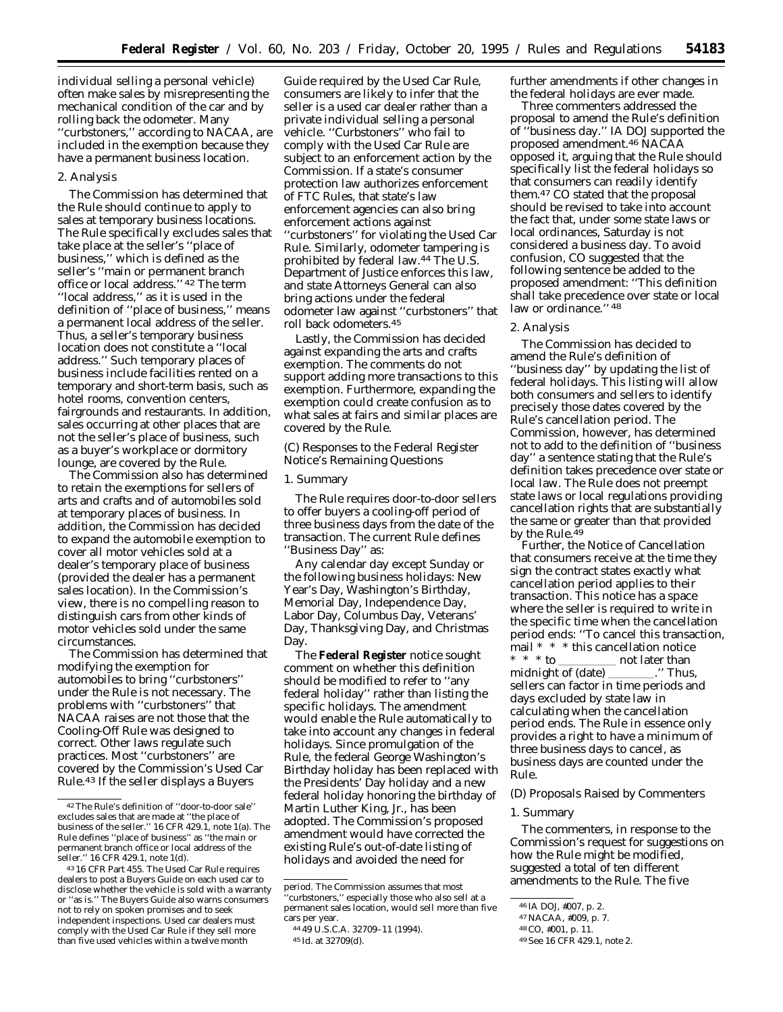individual selling a personal vehicle) often make sales by misrepresenting the mechanical condition of the car and by rolling back the odometer. Many ''curbstoners,'' according to NACAA, are included in the exemption because they have a permanent business location.

#### 2. Analysis

The Commission has determined that the Rule should continue to apply to sales at temporary business locations. The Rule specifically excludes sales that take place at the seller's ''place of business,'' which is defined as the seller's ''main or permanent branch office or local address.'' 42 The term ''local address,'' as it is used in the definition of ''place of business,'' means a permanent local address of the seller. Thus, a seller's temporary business location does not constitute a ''local address.'' Such temporary places of business include facilities rented on a temporary and short-term basis, such as hotel rooms, convention centers, fairgrounds and restaurants. In addition, sales occurring at other places that are not the seller's place of business, such as a buyer's workplace or dormitory lounge, are covered by the Rule.

The Commission also has determined to retain the exemptions for sellers of arts and crafts and of automobiles sold at temporary places of business. In addition, the Commission has decided to expand the automobile exemption to cover all motor vehicles sold at a dealer's temporary place of business (provided the dealer has a permanent sales location). In the Commission's view, there is no compelling reason to distinguish cars from other kinds of motor vehicles sold under the same circumstances.

The Commission has determined that modifying the exemption for automobiles to bring ''curbstoners'' under the Rule is not necessary. The problems with ''curbstoners'' that NACAA raises are not those that the Cooling-Off Rule was designed to correct. Other laws regulate such practices. Most ''curbstoners'' are covered by the Commission's Used Car Rule.43 If the seller displays a Buyers

Guide required by the Used Car Rule, consumers are likely to infer that the seller is a used car dealer rather than a private individual selling a personal vehicle. ''Curbstoners'' who fail to comply with the Used Car Rule are subject to an enforcement action by the Commission. If a state's consumer protection law authorizes enforcement of FTC Rules, that state's law enforcement agencies can also bring enforcement actions against ''curbstoners'' for violating the Used Car Rule. Similarly, odometer tampering is prohibited by federal law.44 The U.S. Department of Justice enforces this law, and state Attorneys General can also bring actions under the federal odometer law against ''curbstoners'' that roll back odometers.45

Lastly, the Commission has decided against expanding the arts and crafts exemption. The comments do not support adding more transactions to this exemption. Furthermore, expanding the exemption could create confusion as to what sales at fairs and similar places are covered by the Rule.

## *(C) Responses to the Federal Register Notice's Remaining Questions*

### 1. Summary

The Rule requires door-to-door sellers to offer buyers a cooling-off period of three business days from the date of the transaction. The current Rule defines ''Business Day'' as:

Any calendar day except Sunday or the following business holidays: New Year's Day, Washington's Birthday, Memorial Day, Independence Day, Labor Day, Columbus Day, Veterans' Day, Thanksgiving Day, and Christmas Day.

The **Federal Register** notice sought comment on whether this definition should be modified to refer to ''any federal holiday'' rather than listing the specific holidays. The amendment would enable the Rule automatically to take into account any changes in federal holidays. Since promulgation of the Rule, the federal George Washington's Birthday holiday has been replaced with the Presidents' Day holiday and a new federal holiday honoring the birthday of Martin Luther King, Jr., has been adopted. The Commission's proposed amendment would have corrected the existing Rule's out-of-date listing of holidays and avoided the need for

Three commenters addressed the proposal to amend the Rule's definition of ''business day.'' IA DOJ supported the proposed amendment.46 NACAA opposed it, arguing that the Rule should specifically list the federal holidays so that consumers can readily identify them.47 CO stated that the proposal should be revised to take into account the fact that, under some state laws or local ordinances, Saturday is not considered a business day. To avoid confusion, CO suggested that the following sentence be added to the proposed amendment: ''This definition shall take precedence over state or local law or ordinance." 48

### 2. Analysis

The Commission has decided to amend the Rule's definition of ''business day'' by updating the list of federal holidays. This listing will allow both consumers and sellers to identify precisely those dates covered by the Rule's cancellation period. The Commission, however, has determined not to add to the definition of ''business day'' a sentence stating that the Rule's definition takes precedence over state or local law. The Rule does not preempt state laws or local regulations providing cancellation rights that are substantially the same or greater than that provided by the Rule.<sup>49</sup>

Further, the Notice of Cancellation that consumers receive at the time they sign the contract states exactly what cancellation period applies to their transaction. This notice has a space where the seller is required to write in the specific time when the cancellation period ends: ''To cancel this transaction, mail \* \* \* this cancellation notice \* \* \* to \_\_\_\_\_\_\_\_\_\_\_ not later than midnight of (date) \_\_\_\_\_\_\_\_.'' Thus, sellers can factor in time periods and days excluded by state law in calculating when the cancellation period ends. The Rule in essence only provides a right to have a minimum of three business days to cancel, as business days are counted under the Rule.

### *(D) Proposals Raised by Commenters*

### 1. Summary

The commenters, in response to the Commission's request for suggestions on how the Rule might be modified, suggested a total of ten different amendments to the Rule. The five

<sup>42</sup>The Rule's definition of ''door-to-door sale'' excludes sales that are made at ''the place of business of the seller.'' 16 CFR 429.1, note 1(a). The Rule defines ''place of business'' as ''the main or permanent branch office or local address of the seller.'' 16 CFR 429.1, note 1(d).

<sup>43</sup> 16 CFR Part 455. The Used Car Rule requires dealers to post a Buyers Guide on each used car to disclose whether the vehicle is sold with a warranty or ''as is.'' The Buyers Guide also warns consumers not to rely on spoken promises and to seek independent inspections. Used car dealers must comply with the Used Car Rule if they sell more than five used vehicles within a twelve month

period. The Commission assumes that most 'curbstoners," especially those who also sell at a permanent sales location, would sell more than five cars per year.

<sup>44</sup> 49 U.S.C.A. 32709–11 (1994). 45 *Id.* at 32709(d).

further amendments if other changes in the federal holidays are ever made.

<sup>46</sup> IA DOJ, #007, p. 2.

<sup>47</sup>NACAA, #009, p. 7.

<sup>48</sup>CO, #001, p. 11.

<sup>49</sup>*See* 16 CFR 429.1, note 2.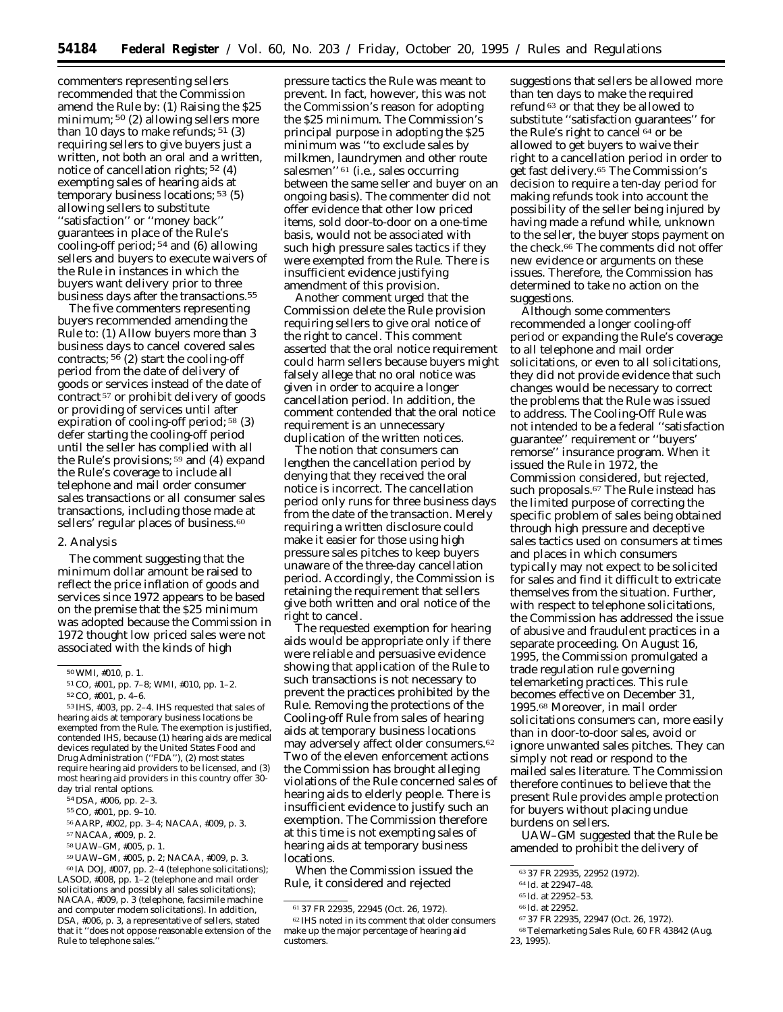commenters representing sellers recommended that the Commission amend the Rule by: (1) Raising the \$25 minimum; 50 (2) allowing sellers more than 10 days to make refunds;  $51$  (3) requiring sellers to give buyers just a written, not both an oral and a written, notice of cancellation rights; 52 (4) exempting sales of hearing aids at temporary business locations; 53 (5) allowing sellers to substitute ''satisfaction'' or ''money back'' guarantees in place of the Rule's cooling-off period; 54 and (6) allowing sellers and buyers to execute waivers of the Rule in instances in which the buyers want delivery prior to three business days after the transactions.<sup>55</sup>

The five commenters representing buyers recommended amending the Rule to: (1) Allow buyers more than 3 business days to cancel covered sales contracts;  $56$  (2) start the cooling-off period from the date of delivery of goods or services instead of the date of contract 57 or prohibit delivery of goods or providing of services until after expiration of cooling-off period; 58 (3) defer starting the cooling-off period until the seller has complied with all the Rule's provisions; 59 and (4) expand the Rule's coverage to include all telephone and mail order consumer sales transactions or all consumer sales transactions, including those made at sellers' regular places of business.<sup>60</sup>

#### 2. Analysis

The comment suggesting that the minimum dollar amount be raised to reflect the price inflation of goods and services since 1972 appears to be based on the premise that the \$25 minimum was adopted because the Commission in 1972 thought low priced sales were not associated with the kinds of high

53 IHS, #003, pp. 2–4. IHS requested that sales of hearing aids at temporary business locations be exempted from the Rule. The exemption is justified, contended IHS, because (1) hearing aids are medical devices regulated by the United States Food and Drug Administration (''FDA''), (2) most states require hearing aid providers to be licensed, and (3) most hearing aid providers in this country offer 30 day trial rental options.

58UAW–GM, #005, p. 1.

59UAW–GM, #005, p. 2; NACAA, #009, p. 3. 60 IA DOJ, #007, pp. 2–4 (telephone solicitations); LASOD, #008, pp. 1–2 (telephone and mail order solicitations and possibly all sales solicitations); NACAA, #009, p. 3 (telephone, facsimile machine and computer modem solicitations). In addition, DSA, #006, p. 3, a representative of sellers, stated that it ''does not oppose reasonable extension of the Rule to telephone sales.

pressure tactics the Rule was meant to prevent. In fact, however, this was not the Commission's reason for adopting the \$25 minimum. The Commission's principal purpose in adopting the \$25 minimum was ''to exclude sales by milkmen, laundrymen and other route salesmen'' 61 (*i.e.,* sales occurring between the same seller and buyer on an ongoing basis). The commenter did not offer evidence that other low priced items, sold door-to-door on a one-time basis, would not be associated with such high pressure sales tactics if they were exempted from the Rule. There is insufficient evidence justifying amendment of this provision.

Another comment urged that the Commission delete the Rule provision requiring sellers to give oral notice of the right to cancel. This comment asserted that the oral notice requirement could harm sellers because buyers might falsely allege that no oral notice was given in order to acquire a longer cancellation period. In addition, the comment contended that the oral notice requirement is an unnecessary duplication of the written notices.

The notion that consumers can lengthen the cancellation period by denying that they received the oral notice is incorrect. The cancellation period only runs for three business days from the date of the transaction. Merely requiring a written disclosure could make it easier for those using high pressure sales pitches to keep buyers unaware of the three-day cancellation period. Accordingly, the Commission is retaining the requirement that sellers give both written and oral notice of the right to cancel.

The requested exemption for hearing aids would be appropriate only if there were reliable and persuasive evidence showing that application of the Rule to such transactions is not necessary to prevent the practices prohibited by the Rule. Removing the protections of the Cooling-off Rule from sales of hearing aids at temporary business locations may adversely affect older consumers.62 Two of the eleven enforcement actions the Commission has brought alleging violations of the Rule concerned sales of hearing aids to elderly people. There is insufficient evidence to justify such an exemption. The Commission therefore at this time is not exempting sales of hearing aids at temporary business locations.

When the Commission issued the Rule, it considered and rejected

suggestions that sellers be allowed more than ten days to make the required refund 63 or that they be allowed to substitute ''satisfaction guarantees'' for the Rule's right to cancel 64 or be allowed to get buyers to waive their right to a cancellation period in order to get fast delivery.65 The Commission's decision to require a ten-day period for making refunds took into account the possibility of the seller being injured by having made a refund while, unknown to the seller, the buyer stops payment on the check.66 The comments did not offer new evidence or arguments on these issues. Therefore, the Commission has determined to take no action on the suggestions.

Although some commenters recommended a longer cooling-off period or expanding the Rule's coverage to all telephone and mail order solicitations, or even to all solicitations, they did not provide evidence that such changes would be necessary to correct the problems that the Rule was issued to address. The Cooling-Off Rule was not intended to be a federal ''satisfaction guarantee'' requirement or ''buyers' remorse'' insurance program. When it issued the Rule in 1972, the Commission considered, but rejected, such proposals.<sup>67</sup> The Rule instead has the limited purpose of correcting the specific problem of sales being obtained through high pressure and deceptive sales tactics used on consumers at times and places in which consumers typically may not expect to be solicited for sales and find it difficult to extricate themselves from the situation. Further, with respect to telephone solicitations, the Commission has addressed the issue of abusive and fraudulent practices in a separate proceeding. On August 16, 1995, the Commission promulgated a trade regulation rule governing telemarketing practices. This rule becomes effective on December 31, 1995.68 Moreover, in mail order solicitations consumers can, more easily than in door-to-door sales, avoid or ignore unwanted sales pitches. They can simply not read or respond to the mailed sales literature. The Commission therefore continues to believe that the present Rule provides ample protection for buyers without placing undue burdens on sellers.

UAW–GM suggested that the Rule be amended to prohibit the delivery of

<sup>50</sup>WMI, #010, p. 1.

<sup>51</sup>CO, #001, pp. 7–8; WMI, #010, pp. 1–2.

<sup>52</sup>CO, #001, p. 4–6.

<sup>54</sup> DSA, #006, pp. 2–3.

<sup>55</sup>CO, #001, pp. 9–10.

<sup>56</sup>AARP, #002, pp. 3–4; NACAA, #009, p. 3.

<sup>57</sup>NACAA, #009, p. 2.

<sup>61</sup> 37 FR 22935, 22945 (Oct. 26, 1972). 62 IHS noted in its comment that older consumers make up the major percentage of hearing aid customers.

<sup>63</sup> 37 FR 22935, 22952 (1972).

<sup>64</sup> *Id.* at 22947–48.

<sup>65</sup> *Id.* at 22952–53.

<sup>66</sup> *Id.* at 22952.

<sup>67</sup> 37 FR 22935, 22947 (Oct. 26, 1972).

<sup>68</sup>Telemarketing Sales Rule, 60 FR 43842 (Aug. 23, 1995).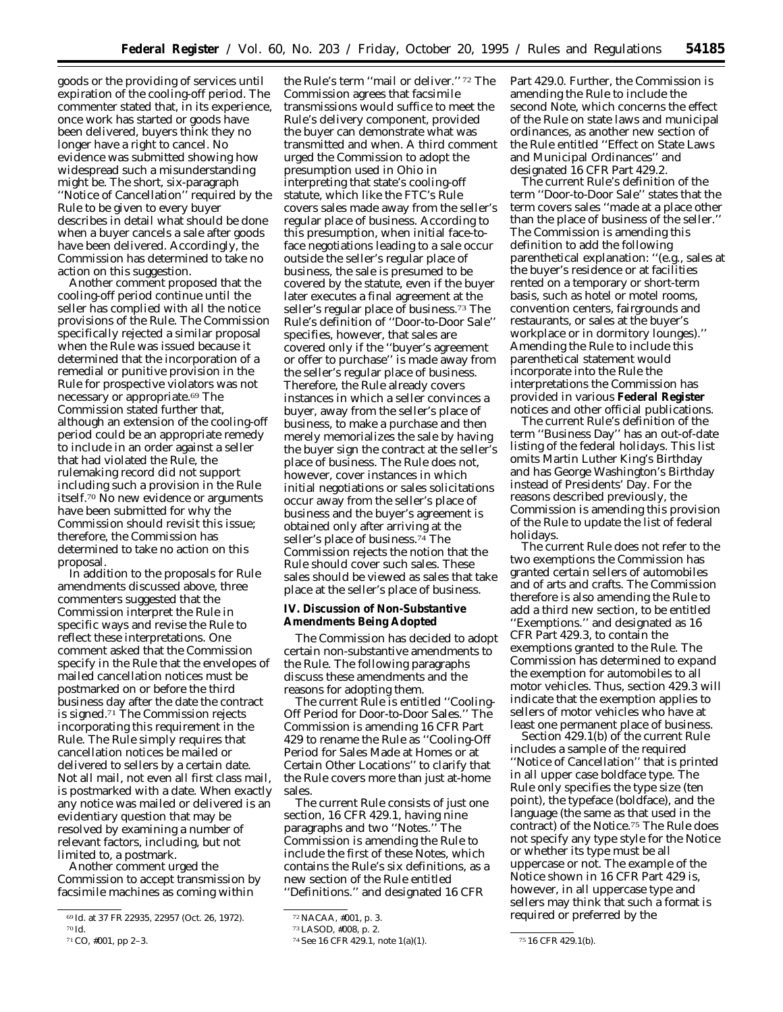goods or the providing of services until expiration of the cooling-off period. The commenter stated that, in its experience, once work has started or goods have been delivered, buyers think they no longer have a right to cancel. No evidence was submitted showing how widespread such a misunderstanding might be. The short, six-paragraph ''Notice of Cancellation'' required by the Rule to be given to every buyer describes in detail what should be done when a buyer cancels a sale after goods have been delivered. Accordingly, the Commission has determined to take no action on this suggestion.

Another comment proposed that the cooling-off period continue until the seller has complied with all the notice provisions of the Rule. The Commission specifically rejected a similar proposal when the Rule was issued because it determined that the incorporation of a remedial or punitive provision in the Rule for prospective violators was not necessary or appropriate.69 The Commission stated further that, although an extension of the cooling-off period could be an appropriate remedy to include in an order against a seller that had violated the Rule, the rulemaking record did not support including such a provision in the Rule itself.70 No new evidence or arguments have been submitted for why the Commission should revisit this issue; therefore, the Commission has determined to take no action on this proposal.

In addition to the proposals for Rule amendments discussed above, three commenters suggested that the Commission interpret the Rule in specific ways and revise the Rule to reflect these interpretations. One comment asked that the Commission specify in the Rule that the envelopes of mailed cancellation notices must be postmarked on or before the third business day after the date the contract is signed.71 The Commission rejects incorporating this requirement in the Rule. The Rule simply requires that cancellation notices be mailed or delivered to sellers by a certain date. Not all mail, not even all first class mail, is postmarked with a date. When exactly any notice was mailed or delivered is an evidentiary question that may be resolved by examining a number of relevant factors, including, but not limited to, a postmark.

Another comment urged the Commission to accept transmission by facsimile machines as coming within

the Rule's term ''mail or deliver.'' 72 The Commission agrees that facsimile transmissions would suffice to meet the Rule's delivery component, provided the buyer can demonstrate what was transmitted and when. A third comment urged the Commission to adopt the presumption used in Ohio in interpreting that state's cooling-off statute, which like the FTC's Rule covers sales made away from the seller's regular place of business. According to this presumption, when initial face-toface negotiations leading to a sale occur outside the seller's regular place of business, the sale is presumed to be covered by the statute, even if the buyer later executes a final agreement at the seller's regular place of business.73 The Rule's definition of ''Door-to-Door Sale'' specifies, however, that sales are covered only if the ''buyer's agreement or offer to purchase'' is made away from the seller's regular place of business. Therefore, the Rule already covers instances in which a seller convinces a buyer, away from the seller's place of business, to make a purchase and then merely memorializes the sale by having the buyer sign the contract at the seller's place of business. The Rule does not, however, cover instances in which initial negotiations or sales solicitations occur away from the seller's place of business and the buyer's agreement is obtained only after arriving at the seller's place of business.<sup>74</sup> The Commission rejects the notion that the Rule should cover such sales. These sales should be viewed as sales that take place at the seller's place of business.

**IV. Discussion of Non-Substantive Amendments Being Adopted**

The Commission has decided to adopt certain non-substantive amendments to the Rule. The following paragraphs discuss these amendments and the reasons for adopting them.

The current Rule is entitled "Cooling-Off Period for Door-to-Door Sales.'' The Commission is amending 16 CFR Part 429 to rename the Rule as ''Cooling-Off Period for Sales Made at Homes or at Certain Other Locations'' to clarify that the Rule covers more than just at-home sales.

The current Rule consists of just one section, 16 CFR 429.1, having nine paragraphs and two ''Notes.'' The Commission is amending the Rule to include the first of these Notes, which contains the Rule's six definitions, as a new section of the Rule entitled ''Definitions.'' and designated 16 CFR

Part 429.0. Further, the Commission is amending the Rule to include the second Note, which concerns the effect of the Rule on state laws and municipal ordinances, as another new section of the Rule entitled ''Effect on State Laws and Municipal Ordinances'' and designated 16 CFR Part 429.2.

The current Rule's definition of the term ''Door-to-Door Sale'' states that the term covers sales ''made at a place other than the place of business of the seller.'' The Commission is amending this definition to add the following parenthetical explanation: ''(*e.g.,* sales at the buyer's residence or at facilities rented on a temporary or short-term basis, such as hotel or motel rooms, convention centers, fairgrounds and restaurants, or sales at the buyer's workplace or in dormitory lounges).'' Amending the Rule to include this parenthetical statement would incorporate into the Rule the interpretations the Commission has provided in various **Federal Register** notices and other official publications.

The current Rule's definition of the term ''Business Day'' has an out-of-date listing of the federal holidays. This list omits Martin Luther King's Birthday and has George Washington's Birthday instead of Presidents' Day. For the reasons described previously, the Commission is amending this provision of the Rule to update the list of federal holidays.

The current Rule does not refer to the two exemptions the Commission has granted certain sellers of automobiles and of arts and crafts. The Commission therefore is also amending the Rule to add a third new section, to be entitled ''Exemptions.'' and designated as 16 CFR Part 429.3, to contain the exemptions granted to the Rule. The Commission has determined to expand the exemption for automobiles to all motor vehicles. Thus, section 429.3 will indicate that the exemption applies to sellers of motor vehicles who have at least one permanent place of business.

Section 429.1(b) of the current Rule includes a sample of the required ''Notice of Cancellation'' that is printed in all upper case boldface type. The Rule only specifies the type size (ten point), the typeface (boldface), and the language (the same as that used in the contract) of the Notice.75 The Rule does not specify any type style for the Notice or whether its type must be all uppercase or not. The example of the Notice shown in 16 CFR Part 429 is, however, in all uppercase type and sellers may think that such a format is required or preferred by the

<sup>69</sup> *Id.* at 37 FR 22935, 22957 (Oct. 26, 1972). 70 *Id.*

<sup>71</sup>CO, #001, pp 2–3.

<sup>72</sup>NACAA, #001, p. 3.

<sup>73</sup>LASOD, #008, p. 2.

<sup>74</sup>See 16 CFR 429.1, note 1(a)(1). 75 16 CFR 429.1(b).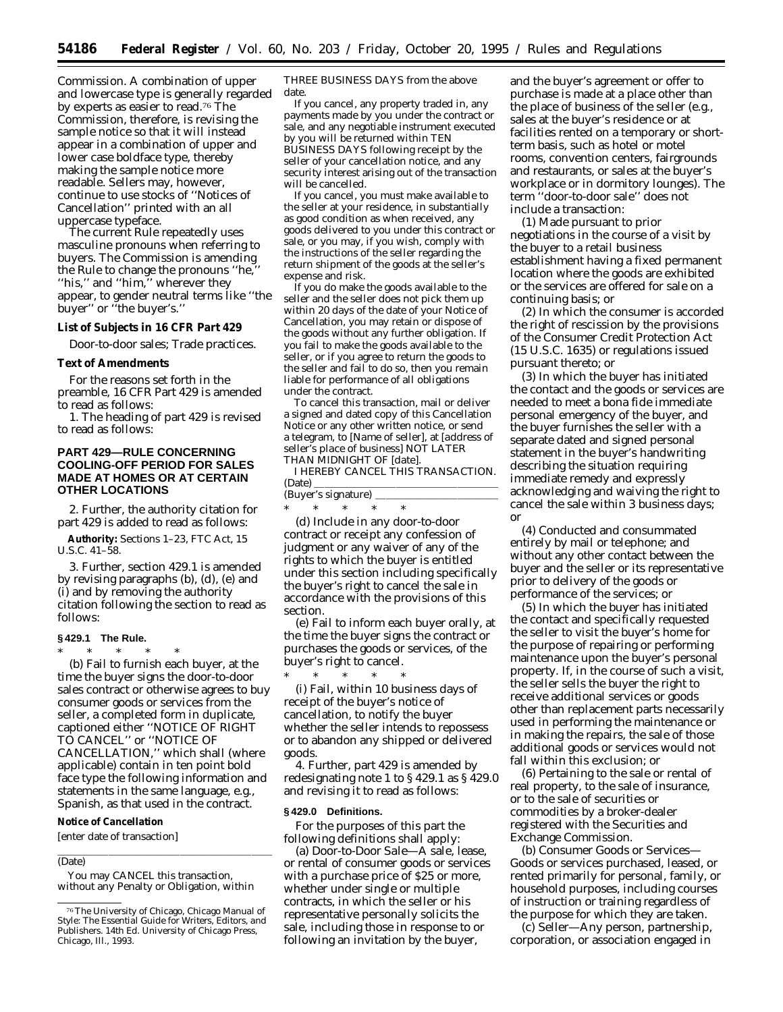Commission. A combination of upper and lowercase type is generally regarded by experts as easier to read.76 The Commission, therefore, is revising the sample notice so that it will instead appear in a combination of upper and lower case boldface type, thereby making the sample notice more readable. Sellers may, however, continue to use stocks of ''Notices of Cancellation'' printed with an all uppercase typeface.

The current Rule repeatedly uses masculine pronouns when referring to buyers. The Commission is amending the Rule to change the pronouns ''he,'' ''his,'' and ''him,'' wherever they appear, to gender neutral terms like ''the buyer" or "the buyer's."

**List of Subjects in 16 CFR Part 429**

Door-to-door sales; Trade practices.

#### **Text of Amendments**

For the reasons set forth in the preamble, 16 CFR Part 429 is amended to read as follows:

1. The heading of part 429 is revised to read as follows:

# **PART 429—RULE CONCERNING COOLING-OFF PERIOD FOR SALES MADE AT HOMES OR AT CERTAIN OTHER LOCATIONS**

2. Further, the authority citation for part 429 is added to read as follows:

**Authority:** Sections 1–23, FTC Act, 15 U.S.C.  $41-\frac{5}{6}8$ .

3. Further, section 429.1 is amended by revising paragraphs (b), (d), (e) and (i) and by removing the authority citation following the section to read as follows:

## **§ 429.1 The Rule.**

\* \* \* \* \* (b) Fail to furnish each buyer, at the time the buyer signs the door-to-door sales contract or otherwise agrees to buy consumer goods or services from the seller, a completed form in duplicate, captioned either ''NOTICE OF RIGHT TO CANCEL'' or ''NOTICE OF CANCELLATION,'' which shall (where applicable) contain in ten point bold face type the following information and statements in the same language, *e.g.,* Spanish, as that used in the contract.

## **Notice of Cancellation**

[enter date of transaction]

### (Date)

You may CANCEL this transaction, without any Penalty or Obligation, within

THREE BUSINESS DAYS from the above date.

If you cancel, any property traded in, any payments made by you under the contract or sale, and any negotiable instrument executed by you will be returned within TEN BUSINESS DAYS following receipt by the seller of your cancellation notice, and any security interest arising out of the transaction will be cancelled.

If you cancel, you must make available to the seller at your residence, in substantially as good condition as when received, any goods delivered to you under this contract or sale, or you may, if you wish, comply with the instructions of the seller regarding the return shipment of the goods at the seller's expense and risk.

If you do make the goods available to the seller and the seller does not pick them up within 20 days of the date of your Notice of Cancellation, you may retain or dispose of the goods without any further obligation. If you fail to make the goods available to the seller, or if you agree to return the goods to the seller and fail to do so, then you remain liable for performance of all obligations under the contract.

To cancel this transaction, mail or deliver a signed and dated copy of this Cancellation Notice or any other written notice, or send a telegram, to [*Name of seller*], at [*address of seller's place of business*] NOT LATER THAN MIDNIGHT OF [*date*].

I HEREBY CANCEL THIS TRANSACTION. (Date)  $\overline{\phantom{a}}$ 

| (Buyer's signature) |  |  |  |  |  |  |  |
|---------------------|--|--|--|--|--|--|--|
|                     |  |  |  |  |  |  |  |

(d) Include in any door-to-door contract or receipt any confession of judgment or any waiver of any of the rights to which the buyer is entitled under this section including specifically the buyer's right to cancel the sale in accordance with the provisions of this section.

(e) Fail to inform each buyer orally, at the time the buyer signs the contract or purchases the goods or services, of the buyer's right to cancel.

\* \* \* \* \* (i) Fail, within 10 business days of receipt of the buyer's notice of cancellation, to notify the buyer whether the seller intends to repossess or to abandon any shipped or delivered goods.

4. Further, part 429 is amended by redesignating note 1 to § 429.1 as § 429.0 and revising it to read as follows:

#### **§ 429.0 Definitions.**

For the purposes of this part the following definitions shall apply:

(a) *Door-to-Door Sale*—A sale, lease, or rental of consumer goods or services with a purchase price of \$25 or more, whether under single or multiple contracts, in which the seller or his representative personally solicits the sale, including those in response to or following an invitation by the buyer,

and the buyer's agreement or offer to purchase is made at a place other than the place of business of the seller (*e.g.*, sales at the buyer's residence or at facilities rented on a temporary or shortterm basis, such as hotel or motel rooms, convention centers, fairgrounds and restaurants, or sales at the buyer's workplace or in dormitory lounges). The term ''door-to-door sale'' does not include a transaction:

(1) Made pursuant to prior negotiations in the course of a visit by the buyer to a retail business establishment having a fixed permanent location where the goods are exhibited or the services are offered for sale on a continuing basis; or

(2) In which the consumer is accorded the right of rescission by the provisions of the Consumer Credit Protection Act (15 U.S.C. 1635) or regulations issued pursuant thereto; or

(3) In which the buyer has initiated the contact and the goods or services are needed to meet a bona fide immediate personal emergency of the buyer, and the buyer furnishes the seller with a separate dated and signed personal statement in the buyer's handwriting describing the situation requiring immediate remedy and expressly acknowledging and waiving the right to cancel the sale within 3 business days; or

(4) Conducted and consummated entirely by mail or telephone; and without any other contact between the buyer and the seller or its representative prior to delivery of the goods or performance of the services; or

(5) In which the buyer has initiated the contact and specifically requested the seller to visit the buyer's home for the purpose of repairing or performing maintenance upon the buyer's personal property. If, in the course of such a visit, the seller sells the buyer the right to receive additional services or goods other than replacement parts necessarily used in performing the maintenance or in making the repairs, the sale of those additional goods or services would not fall within this exclusion; or

(6) Pertaining to the sale or rental of real property, to the sale of insurance, or to the sale of securities or commodities by a broker-dealer registered with the Securities and Exchange Commission.

(b) *Consumer Goods or Services*— Goods or services purchased, leased, or rented primarily for personal, family, or household purposes, including courses of instruction or training regardless of the purpose for which they are taken.

(c) *Seller*—Any person, partnership, corporation, or association engaged in

<sup>76</sup>The University of Chicago, *Chicago Manual of Style: The Essential Guide for Writers, Editors, and Publishers.* 14th Ed. University of Chicago Press, Chicago, Ill., 1993.